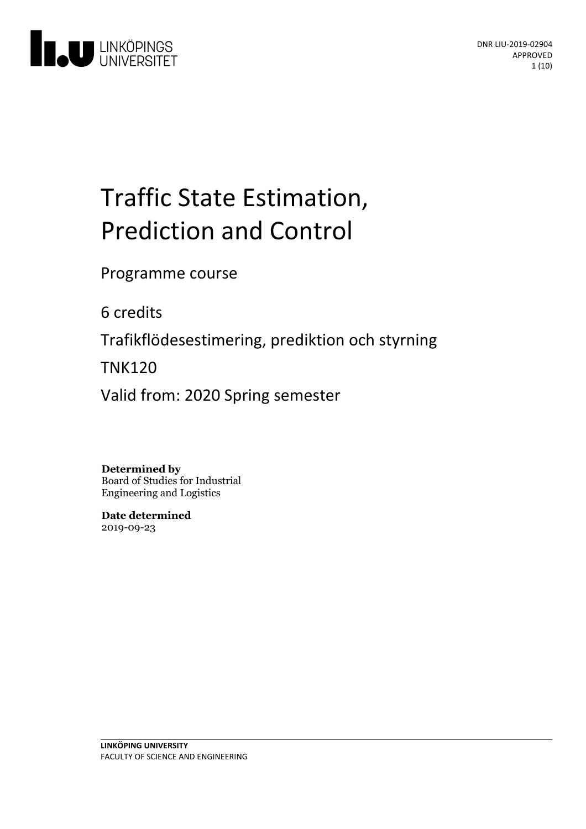

# Traffic State Estimation, Prediction and Control

Programme course

6 credits

Trafikflödesestimering, prediktion och styrning

TNK120

Valid from: 2020 Spring semester

**Determined by**

Board of Studies for Industrial Engineering and Logistics

**Date determined** 2019-09-23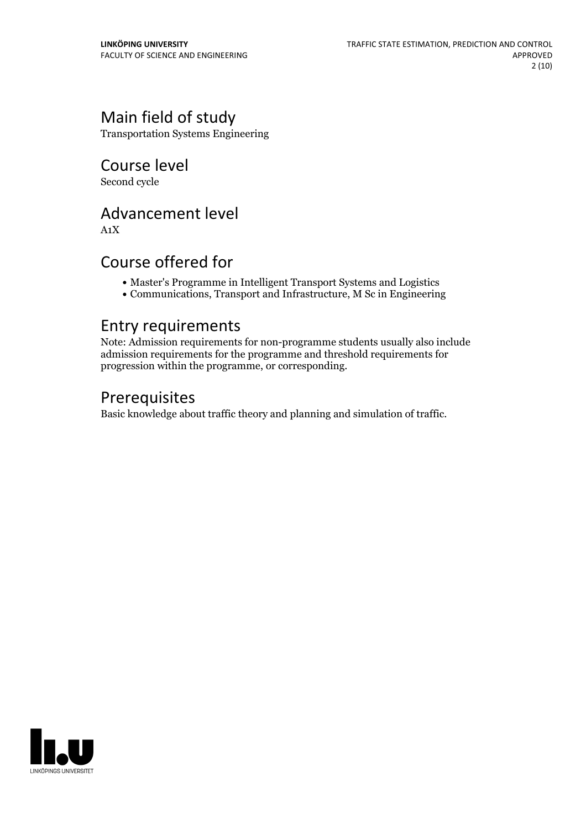# Main field of study

Transportation Systems Engineering

Course level Second cycle

Advancement level

A1X

# Course offered for

- Master's Programme in Intelligent Transport Systems and Logistics
- Communications, Transport and Infrastructure, M Sc in Engineering

## Entry requirements

Note: Admission requirements for non-programme students usually also include admission requirements for the programme and threshold requirements for progression within the programme, or corresponding.

# Prerequisites

Basic knowledge about traffic theory and planning and simulation of traffic.

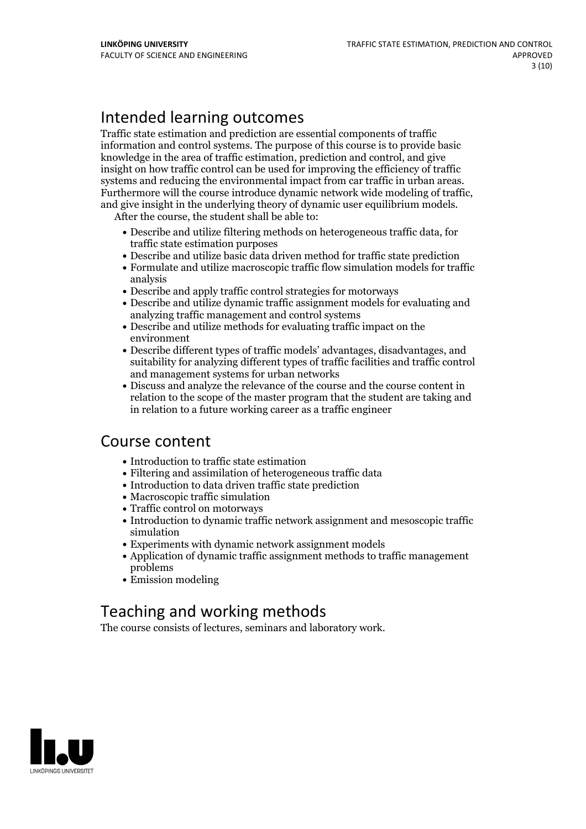# Intended learning outcomes

Traffic state estimation and prediction are essential components of traffic information and control systems. The purpose of this course is to provide basic knowledge in the area of traffic estimation, prediction and control, and give insight on how traffic control can be used for improving the efficiency of traffic systems and reducing the environmental impact from car traffic in urban areas.<br>Furthermore will the course introduce dynamic network wide modeling of traffic,<br>and give insight in the underlying theory of dynamic user equil

- Describe and utilize filtering methods on heterogeneous traffic data, for traffic state estimation purposes
- Describe and utilize basic data driven method for traffic state prediction
- Formulate and utilize macroscopic traffic flow simulation models for traffic analysis
- Describe and apply traffic control strategies for motorways
- Describe and utilize dynamic traffic assignment models for evaluating and analyzing traffic management and control systems
- Describe and utilize methods for evaluating traffic impact on the environment
- Describe different types of traffic models' advantages, disadvantages, and suitability for analyzing different types of traffic facilities and traffic control and management systems for urban networks
- Discuss and analyze the relevance of the course and the course content in relation to the scope of the master program that the student are taking and in relation to a future working career as a traffic engineer

## Course content

- Introduction to traffic state estimation
- Filtering and assimilation of heterogeneous traffic data
- Introduction to data driven traffic state prediction
- Macroscopic traffic simulation
- Traffic control on motorways
- Introduction to dynamic traffic network assignment and mesoscopic traffic simulation
- Experiments with dynamic network assignment models
- Application of dynamic traffic assignment methods to traffic management problems
- Emission modeling

# Teaching and working methods

The course consists of lectures, seminars and laboratory work.

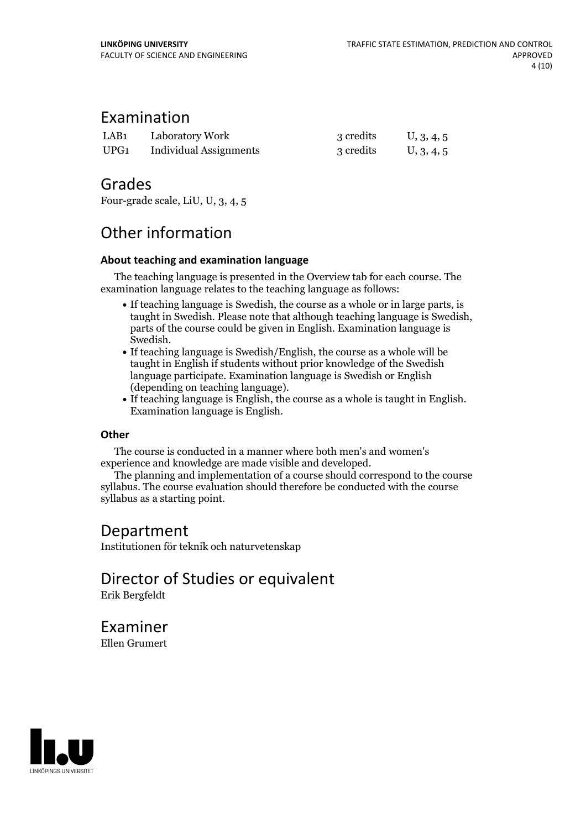### Examination

| LAB <sub>1</sub> | Laboratory Work               | 3 credits | U, 3, 4, 5 |
|------------------|-------------------------------|-----------|------------|
| UPG1             | <b>Individual Assignments</b> | 3 credits | U, 3, 4, 5 |

## Grades

Four-grade scale, LiU, U, 3, 4, 5

# Other information

### **About teaching and examination language**

The teaching language is presented in the Overview tab for each course. The examination language relates to the teaching language as follows:

- If teaching language is Swedish, the course as a whole or in large parts, is taught in Swedish. Please note that although teaching language is Swedish, parts of the course could be given in English. Examination language is
- $\bullet$  If teaching language is Swedish/English, the course as a whole will be taught in English if students without prior knowledge of the Swedish language participate. Examination language is Swedish or English
- If teaching language is English, the course as a whole is taught in English. Examination language is English.

### **Other**

The course is conducted in a manner where both men's and women's

The planning and implementation of a course should correspond to the course syllabus. The course evaluation should therefore be conducted with the course syllabus as a starting point.

# Department

Institutionen för teknik och naturvetenskap

Director of Studies or equivalent Erik Bergfeldt

Examiner Ellen Grumert

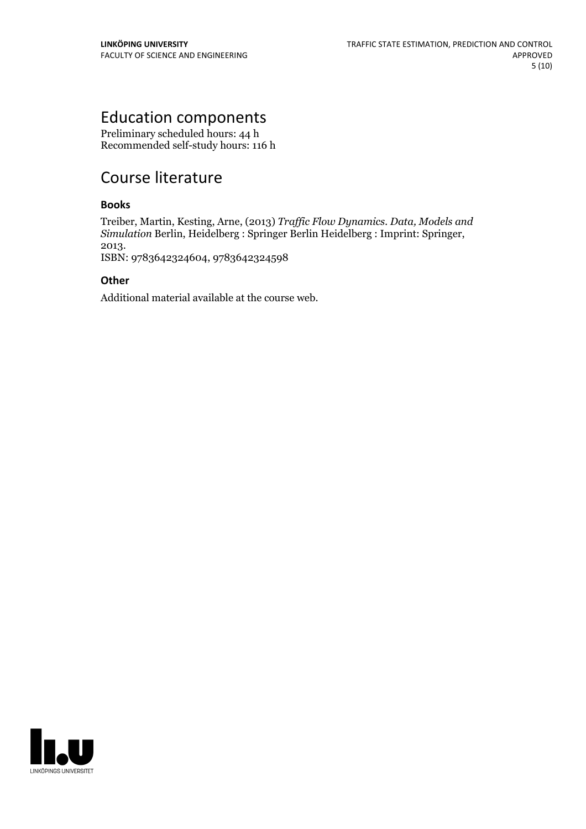# Education components

Preliminary scheduled hours: 44 h Recommended self-study hours: 116 h

# Course literature

### **Books**

Treiber, Martin, Kesting, Arne, (2013) *Traf ic Flow Dynamics. Data, Models and Simulation* Berlin, Heidelberg : Springer Berlin Heidelberg : Imprint: Springer, 2013. ISBN: 9783642324604, <sup>9783642324598</sup>

**Other**

Additional material available at the course web.

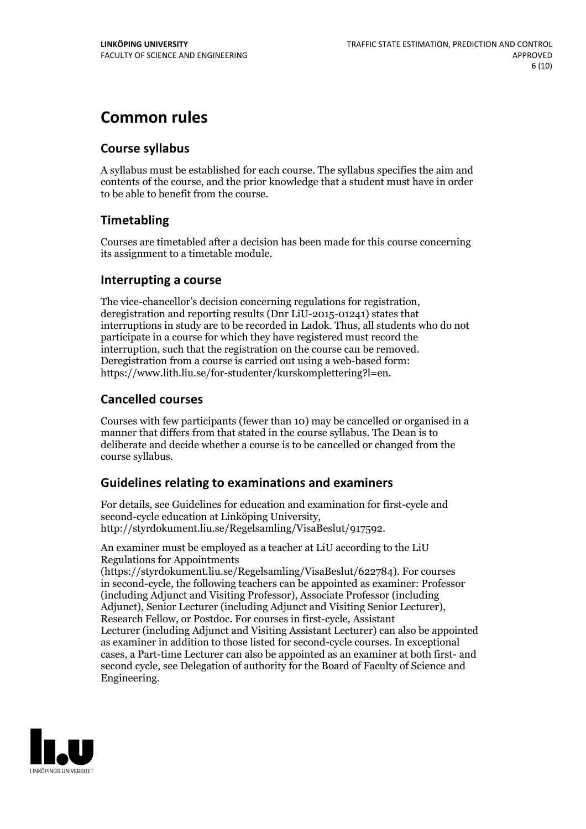# **Common rules**

### **Course syllabus**

A syllabus must be established for each course. The syllabus specifies the aim and contents of the course, and the prior knowledge that a student must have in order to be able to benefit from the course.

### **Timetabling**

Courses are timetabled after a decision has been made for this course concerning its assignment to a timetable module.

### **Interrupting a course**

The vice-chancellor's decision concerning regulations for registration, deregistration and reporting results (Dnr LiU-2015-01241) states that interruptions in study are to be recorded in Ladok. Thus, all students who do not participate in a course for which they have registered must record the interruption, such that the registration on the course can be removed. Deregistration from <sup>a</sup> course is carried outusing <sup>a</sup> web-based form: https://www.lith.liu.se/for-studenter/kurskomplettering?l=en.

### **Cancelled courses**

Courses with few participants (fewer than 10) may be cancelled or organised in a manner that differs from that stated in the course syllabus. The Dean is to deliberate and decide whether a course is to be cancelled or changed from the course syllabus.

### **Guidelines relatingto examinations and examiners**

For details, see Guidelines for education and examination for first-cycle and second-cycle education at Linköping University, http://styrdokument.liu.se/Regelsamling/VisaBeslut/917592.

An examiner must be employed as a teacher at LiU according to the LiU Regulations for Appointments

(https://styrdokument.liu.se/Regelsamling/VisaBeslut/622784). For courses in second-cycle, the following teachers can be appointed as examiner: Professor (including Adjunct and Visiting Professor), Associate Professor (including Adjunct), Senior Lecturer (including Adjunct and Visiting Senior Lecturer), Research Fellow, or Postdoc. For courses in first-cycle, Assistant Lecturer (including Adjunct and Visiting Assistant Lecturer) can also be appointed as examiner in addition to those listed for second-cycle courses. In exceptional cases, a Part-time Lecturer can also be appointed as an examiner at both first- and second cycle, see Delegation of authority for the Board of Faculty of Science and Engineering.

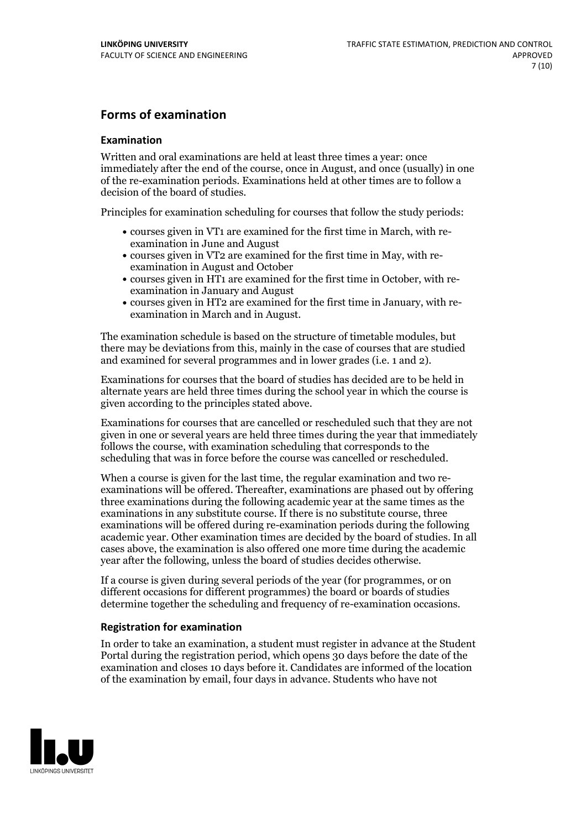### **Forms of examination**

#### **Examination**

Written and oral examinations are held at least three times a year: once immediately after the end of the course, once in August, and once (usually) in one of the re-examination periods. Examinations held at other times are to follow a decision of the board of studies.

Principles for examination scheduling for courses that follow the study periods:

- courses given in VT1 are examined for the first time in March, with re-examination in June and August
- courses given in VT2 are examined for the first time in May, with re-examination in August and October
- courses given in HT1 are examined for the first time in October, with re-examination in January and August
- courses given in HT2 are examined for the first time in January, with re-examination in March and in August.

The examination schedule is based on the structure of timetable modules, but there may be deviations from this, mainly in the case of courses that are studied and examined for several programmes and in lower grades (i.e. 1 and 2).

Examinations for courses that the board of studies has decided are to be held in alternate years are held three times during the school year in which the course is given according to the principles stated above.

Examinations for courses that are cancelled orrescheduled such that they are not given in one or several years are held three times during the year that immediately follows the course, with examination scheduling that corresponds to the scheduling that was in force before the course was cancelled or rescheduled.

When a course is given for the last time, the regular examination and two re-<br>examinations will be offered. Thereafter, examinations are phased out by offering three examinations during the following academic year at the same times as the examinations in any substitute course. If there is no substitute course, three examinations will be offered during re-examination periods during the following academic year. Other examination times are decided by the board of studies. In all cases above, the examination is also offered one more time during the academic year after the following, unless the board of studies decides otherwise.

If a course is given during several periods of the year (for programmes, or on different occasions for different programmes) the board or boards of studies determine together the scheduling and frequency of re-examination occasions.

#### **Registration for examination**

In order to take an examination, a student must register in advance at the Student Portal during the registration period, which opens 30 days before the date of the examination and closes 10 days before it. Candidates are informed of the location of the examination by email, four days in advance. Students who have not

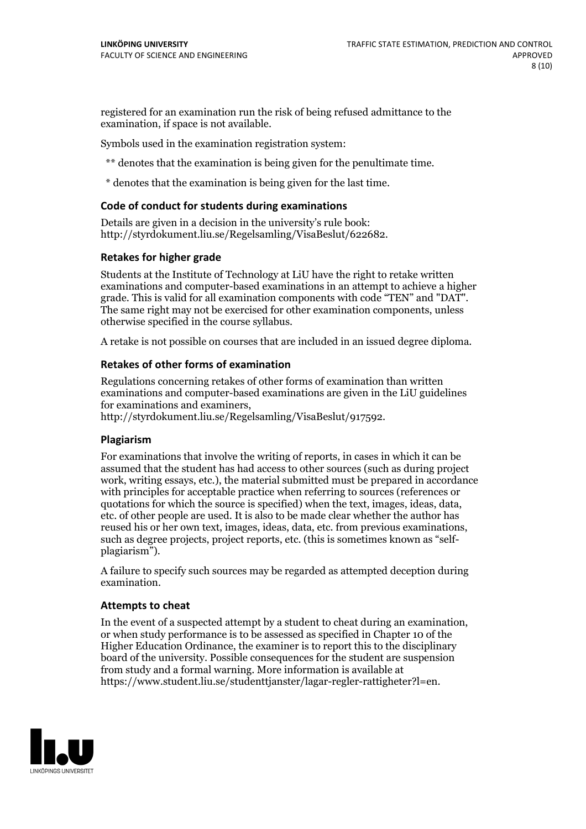registered for an examination run the risk of being refused admittance to the examination, if space is not available.

Symbols used in the examination registration system:

\*\* denotes that the examination is being given for the penultimate time.

\* denotes that the examination is being given for the last time.

#### **Code of conduct for students during examinations**

Details are given in a decision in the university's rule book: http://styrdokument.liu.se/Regelsamling/VisaBeslut/622682.

#### **Retakes for higher grade**

Students at the Institute of Technology at LiU have the right to retake written examinations and computer-based examinations in an attempt to achieve a higher grade. This is valid for all examination components with code "TEN" and "DAT". The same right may not be exercised for other examination components, unless otherwise specified in the course syllabus.

A retake is not possible on courses that are included in an issued degree diploma.

#### **Retakes of other forms of examination**

Regulations concerning retakes of other forms of examination than written examinations and computer-based examinations are given in the LiU guidelines

http://styrdokument.liu.se/Regelsamling/VisaBeslut/917592.

#### **Plagiarism**

For examinations that involve the writing of reports, in cases in which it can be assumed that the student has had access to other sources (such as during project work, writing essays, etc.), the material submitted must be prepared in accordance with principles for acceptable practice when referring to sources (references or quotations for which the source is specified) when the text, images, ideas, data,  $\vec{e}$  etc. of other people are used. It is also to be made clear whether the author has reused his or her own text, images, ideas, data, etc. from previous examinations, such as degree projects, project reports, etc. (this is sometimes known as "self- plagiarism").

A failure to specify such sources may be regarded as attempted deception during examination.

#### **Attempts to cheat**

In the event of <sup>a</sup> suspected attempt by <sup>a</sup> student to cheat during an examination, or when study performance is to be assessed as specified in Chapter <sup>10</sup> of the Higher Education Ordinance, the examiner is to report this to the disciplinary board of the university. Possible consequences for the student are suspension from study and a formal warning. More information is available at https://www.student.liu.se/studenttjanster/lagar-regler-rattigheter?l=en.

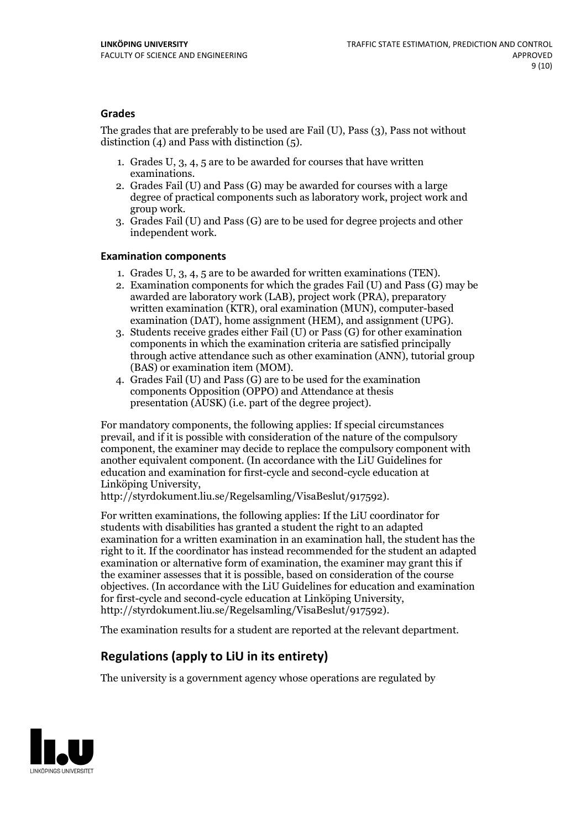### **Grades**

The grades that are preferably to be used are Fail (U), Pass (3), Pass not without distinction  $(4)$  and Pass with distinction  $(5)$ .

- 1. Grades U, 3, 4, 5 are to be awarded for courses that have written
- examinations. 2. Grades Fail (U) and Pass (G) may be awarded for courses with <sup>a</sup> large degree of practical components such as laboratory work, project work and group work. 3. Grades Fail (U) and Pass (G) are to be used for degree projects and other
- independent work.

#### **Examination components**

- 
- 1. Grades U, 3, 4, <sup>5</sup> are to be awarded for written examinations (TEN). 2. Examination components for which the grades Fail (U) and Pass (G) may be awarded are laboratory work (LAB), project work (PRA), preparatory written examination (KTR), oral examination (MUN), computer-based
- examination (DAT), home assignment (HEM), and assignment (UPG). 3. Students receive grades either Fail (U) or Pass (G) for other examination components in which the examination criteria are satisfied principally through active attendance such as other examination (ANN), tutorial group (BAS) or examination item (MOM). 4. Grades Fail (U) and Pass (G) are to be used for the examination
- components Opposition (OPPO) and Attendance at thesis presentation (AUSK) (i.e. part of the degree project).

For mandatory components, the following applies: If special circumstances prevail, and if it is possible with consideration of the nature of the compulsory component, the examiner may decide to replace the compulsory component with another equivalent component. (In accordance with the LiU Guidelines for education and examination for first-cycle and second-cycle education at Linköping University, http://styrdokument.liu.se/Regelsamling/VisaBeslut/917592).

For written examinations, the following applies: If the LiU coordinator for students with disabilities has granted a student the right to an adapted examination for a written examination in an examination hall, the student has the right to it. If the coordinator has instead recommended for the student an adapted examination or alternative form of examination, the examiner may grant this if the examiner assesses that it is possible, based on consideration of the course objectives. (In accordance with the LiU Guidelines for education and examination for first-cycle and second-cycle education at Linköping University, http://styrdokument.liu.se/Regelsamling/VisaBeslut/917592).

The examination results for a student are reported at the relevant department.

### **Regulations (applyto LiU in its entirety)**

The university is a government agency whose operations are regulated by